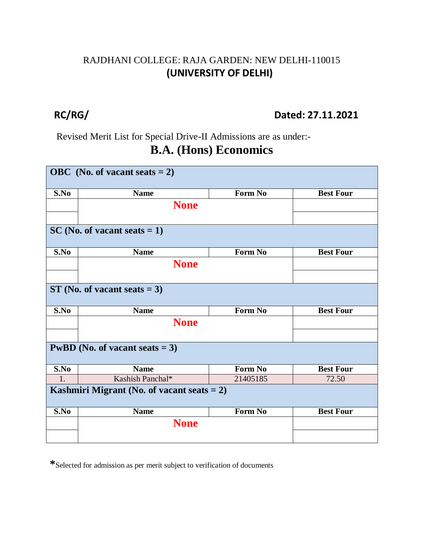#### RAJDHANI COLLEGE: RAJA GARDEN: NEW DELHI-110015 **(UNIVERSITY OF DELHI)**

#### **RC/RG/ Dated: 27.11.2021**

Revised Merit List for Special Drive-II Admissions are as under:-

#### **B.A. (Hons) Economics**

| OBC (No. of vacant seats $= 2$ )              |                                |          |                  |  |  |
|-----------------------------------------------|--------------------------------|----------|------------------|--|--|
| S.No                                          | <b>Name</b>                    | Form No  | <b>Best Four</b> |  |  |
|                                               | <b>None</b>                    |          |                  |  |  |
|                                               |                                |          |                  |  |  |
|                                               | $SC(No. of vacant seats = 1)$  |          |                  |  |  |
| S.No                                          | <b>Name</b>                    | Form No  | <b>Best Four</b> |  |  |
|                                               | <b>None</b>                    |          |                  |  |  |
|                                               |                                |          |                  |  |  |
|                                               | $ST$ (No. of vacant seats = 3) |          |                  |  |  |
| S.No                                          | <b>Name</b>                    | Form No  | <b>Best Four</b> |  |  |
|                                               | <b>None</b>                    |          |                  |  |  |
|                                               |                                |          |                  |  |  |
| <b>PwBD</b> (No. of vacant seats $= 3$ )      |                                |          |                  |  |  |
| S.No                                          | <b>Name</b>                    | Form No  | <b>Best Four</b> |  |  |
| 1.                                            | Kashish Panchal*               | 21405185 | 72.50            |  |  |
| Kashmiri Migrant (No. of vacant seats $= 2$ ) |                                |          |                  |  |  |
| S.No                                          | <b>Name</b>                    | Form No  | <b>Best Four</b> |  |  |
|                                               | <b>None</b>                    |          |                  |  |  |
|                                               |                                |          |                  |  |  |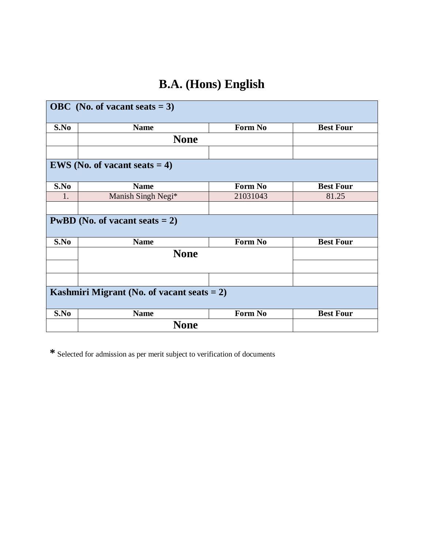## **B.A. (Hons) English**

|      | OBC (No. of vacant seats $= 3$ )              |          |                  |
|------|-----------------------------------------------|----------|------------------|
| S.No | <b>Name</b>                                   | Form No  | <b>Best Four</b> |
|      | <b>None</b>                                   |          |                  |
|      | <b>EWS</b> (No. of vacant seats $= 4$ )       |          |                  |
| S.No | <b>Name</b>                                   | Form No  | <b>Best Four</b> |
| 1.   | Manish Singh Negi*                            | 21031043 | 81.25            |
|      |                                               |          |                  |
|      | <b>PwBD</b> (No. of vacant seats $= 2$ )      |          |                  |
| S.No | <b>Name</b>                                   | Form No  | <b>Best Four</b> |
|      | <b>None</b>                                   |          |                  |
|      |                                               |          |                  |
|      |                                               |          |                  |
|      | Kashmiri Migrant (No. of vacant seats $= 2$ ) |          |                  |
| S.No | <b>Name</b>                                   | Form No  | <b>Best Four</b> |
|      | <b>None</b>                                   |          |                  |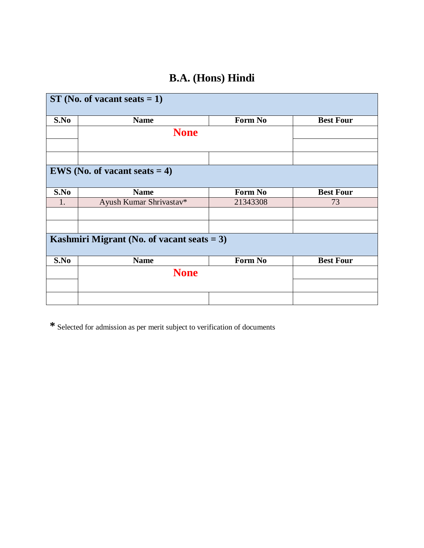#### **B.A. (Hons) Hindi**

| $ST(No. of vacant seats = 1)$ |                                               |          |                  |  |
|-------------------------------|-----------------------------------------------|----------|------------------|--|
| S.No                          | <b>Name</b>                                   | Form No  | <b>Best Four</b> |  |
|                               | <b>None</b>                                   |          |                  |  |
|                               |                                               |          |                  |  |
|                               |                                               |          |                  |  |
|                               | <b>EWS</b> (No. of vacant seats $= 4$ )       |          |                  |  |
| S.No                          | <b>Name</b>                                   | Form No  | <b>Best Four</b> |  |
| 1.                            | Ayush Kumar Shrivastav*                       | 21343308 | 73               |  |
|                               |                                               |          |                  |  |
|                               |                                               |          |                  |  |
|                               | Kashmiri Migrant (No. of vacant seats $= 3$ ) |          |                  |  |
| S.No                          | <b>Name</b>                                   | Form No  | <b>Best Four</b> |  |
|                               | <b>None</b>                                   |          |                  |  |
|                               |                                               |          |                  |  |
|                               |                                               |          |                  |  |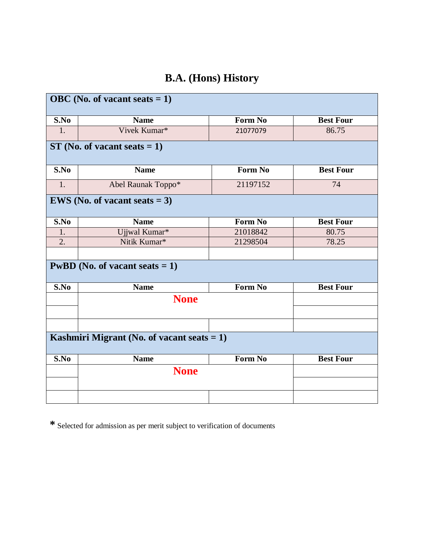## **B.A. (Hons) History**

|      | OBC (No. of vacant seats $= 1$ )              |                |                  |
|------|-----------------------------------------------|----------------|------------------|
| S.No | <b>Name</b>                                   | Form No        | <b>Best Four</b> |
| 1.   | Vivek Kumar*                                  | 21077079       | 86.75            |
|      | $ST$ (No. of vacant seats = 1)                |                |                  |
| S.No | <b>Name</b>                                   | Form No        | <b>Best Four</b> |
| 1.   | Abel Raunak Toppo*                            | 21197152       | 74               |
|      | <b>EWS</b> (No. of vacant seats $= 3$ )       |                |                  |
| S.No | <b>Name</b>                                   | Form No        | <b>Best Four</b> |
| 1.   | Ujjwal Kumar*                                 | 21018842       | 80.75            |
| 2.   | Nitik Kumar*                                  | 21298504       | 78.25            |
|      |                                               |                |                  |
|      | <b>PwBD</b> (No. of vacant seats $= 1$ )      |                |                  |
| S.No | <b>Name</b>                                   | Form No        | <b>Best Four</b> |
|      | <b>None</b>                                   |                |                  |
|      | Kashmiri Migrant (No. of vacant seats $= 1$ ) |                |                  |
| S.No | <b>Name</b>                                   | <b>Form No</b> | <b>Best Four</b> |
|      | <b>None</b>                                   |                |                  |
|      |                                               |                |                  |
|      |                                               |                |                  |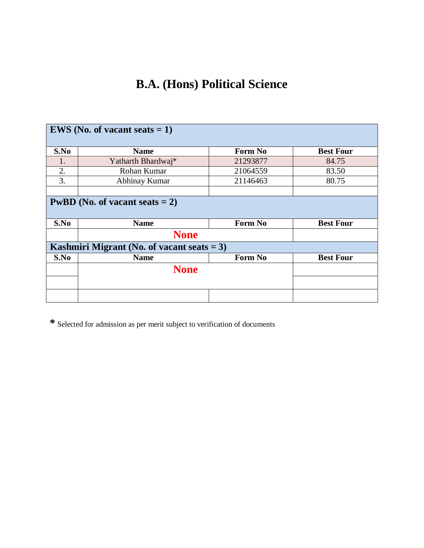## **B.A. (Hons) Political Science**

|      | <b>EWS</b> (No. of vacant seats $= 1$ )       |                |                  |
|------|-----------------------------------------------|----------------|------------------|
| S.No | <b>Name</b>                                   | <b>Form No</b> | <b>Best Four</b> |
| 1.   | Yatharth Bhardwaj*                            | 21293877       | 84.75            |
| 2.   | Rohan Kumar                                   | 21064559       | 83.50            |
| 3.   | Abhinay Kumar                                 | 21146463       | 80.75            |
|      |                                               |                |                  |
|      | <b>PwBD</b> (No. of vacant seats $= 2$ )      |                |                  |
| S.No | <b>Name</b>                                   | <b>Form No</b> | <b>Best Four</b> |
|      | <b>None</b>                                   |                |                  |
|      | Kashmiri Migrant (No. of vacant seats $= 3$ ) |                |                  |
| S.No | <b>Name</b>                                   | Form No        | <b>Best Four</b> |
|      | <b>None</b>                                   |                |                  |
|      |                                               |                |                  |
|      |                                               |                |                  |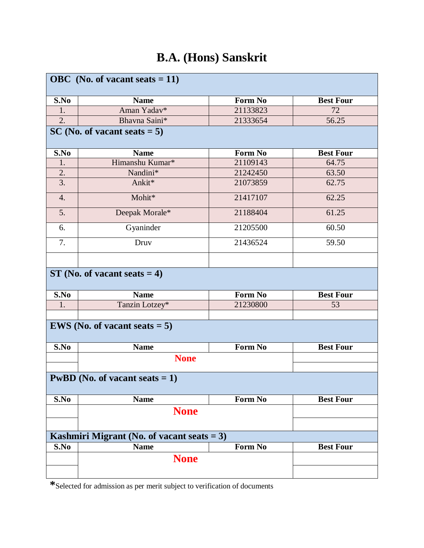## **B.A. (Hons) Sanskrit**

|                  | OBC (No. of vacant seats $= 11$ )             |                |                  |
|------------------|-----------------------------------------------|----------------|------------------|
| S.No             | <b>Name</b>                                   | <b>Form No</b> | <b>Best Four</b> |
| 1.               | Aman Yadav*                                   | 21133823       | 72               |
| 2.               | Bhavna Saini*                                 | 21333654       | 56.25            |
|                  | $SC(No. of vacant seats = 5)$                 |                |                  |
|                  |                                               |                |                  |
| S.No             | <b>Name</b>                                   | Form No        | <b>Best Four</b> |
| 1.               | Himanshu Kumar*                               | 21109143       | 64.75            |
| 2.               | Nandini*                                      | 21242450       | 63.50            |
| $\overline{3}$ . | Ankit*                                        | 21073859       | 62.75            |
| 4.               | Mohit*                                        | 21417107       | 62.25            |
| 5.               | Deepak Morale*                                | 21188404       | 61.25            |
| 6.               | Gyaninder                                     | 21205500       | 60.50            |
| 7.               | Druv                                          | 21436524       | 59.50            |
|                  |                                               |                |                  |
|                  | $ST$ (No. of vacant seats = 4)                |                |                  |
| S.No             | <b>Name</b>                                   | Form No        | <b>Best Four</b> |
| 1.               | Tanzin Lotzey*                                | 21230800       | 53               |
|                  |                                               |                |                  |
|                  | <b>EWS</b> (No. of vacant seats $= 5$ )       |                |                  |
| S.No             | <b>Name</b>                                   | Form No        | <b>Best Four</b> |
|                  | <b>None</b>                                   |                |                  |
|                  |                                               |                |                  |
|                  | <b>PwBD</b> (No. of vacant seats $= 1$ )      |                |                  |
| S.No             | <b>Name</b>                                   | Form No        | <b>Best Four</b> |
|                  | <b>None</b>                                   |                |                  |
|                  |                                               |                |                  |
|                  | Kashmiri Migrant (No. of vacant seats $= 3$ ) |                |                  |
| S.No             | <b>Name</b>                                   | Form No        | <b>Best Four</b> |
|                  |                                               |                |                  |
|                  | <b>None</b>                                   |                |                  |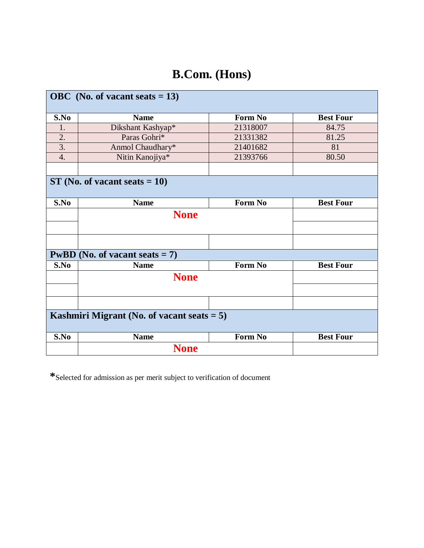## **B.Com. (Hons)**

|                  | OBC (No. of vacant seats $= 13$ )             |          |                  |
|------------------|-----------------------------------------------|----------|------------------|
| S.No             | <b>Name</b>                                   | Form No  | <b>Best Four</b> |
| 1.               | Dikshant Kashyap*                             | 21318007 | 84.75            |
| 2.               | Paras Gohri*                                  | 21331382 | 81.25            |
| $\overline{3}$ . | Anmol Chaudhary*                              | 21401682 | 81               |
| 4.               | Nitin Kanojiya*                               | 21393766 | 80.50            |
|                  | $ST$ (No. of vacant seats = 10)               |          |                  |
|                  |                                               |          |                  |
| S.No             | <b>Name</b>                                   | Form No  | <b>Best Four</b> |
|                  | <b>None</b>                                   |          |                  |
|                  |                                               |          |                  |
|                  |                                               |          |                  |
|                  | <b>PwBD</b> (No. of vacant seats $= 7$ )      |          |                  |
| S.No             | <b>Name</b>                                   | Form No  | <b>Best Four</b> |
|                  | <b>None</b>                                   |          |                  |
|                  |                                               |          |                  |
|                  |                                               |          |                  |
|                  | Kashmiri Migrant (No. of vacant seats $= 5$ ) |          |                  |
| S.No             | <b>Name</b>                                   | Form No  | <b>Best Four</b> |
|                  | <b>None</b>                                   |          |                  |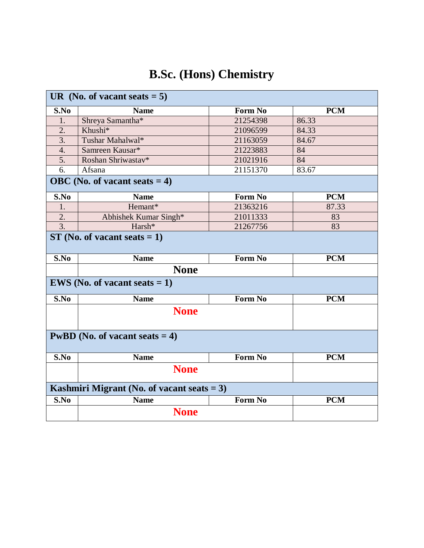|      | UR (No. of vacant seats $= 5$ )               |                |            |
|------|-----------------------------------------------|----------------|------------|
| S.No | <b>Name</b>                                   | Form No        | <b>PCM</b> |
| 1.   | Shreya Samantha*                              | 21254398       | 86.33      |
| 2.   | Khushi*                                       | 21096599       | 84.33      |
| 3.   | Tushar Mahalwal*                              | 21163059       | 84.67      |
| 4.   | Samreen Kausar*                               | 21223883       | 84         |
| 5.   | Roshan Shriwastav*                            | 21021916       | 84         |
| 6.   | Afsana                                        | 21151370       | 83.67      |
|      | OBC (No. of vacant seats $= 4$ )              |                |            |
| S.No | <b>Name</b>                                   | Form No        | <b>PCM</b> |
| 1.   | Hemant*                                       | 21363216       | 87.33      |
| 2.   | Abhishek Kumar Singh*                         | 21011333       | 83         |
| 3.   | Harsh*                                        | 21267756       | 83         |
|      | $ST(No. of vacant seats = 1)$                 |                |            |
| S.No | <b>Name</b>                                   | <b>Form No</b> | <b>PCM</b> |
|      | <b>None</b>                                   |                |            |
|      |                                               |                |            |
|      | <b>EWS</b> (No. of vacant seats $= 1$ )       |                |            |
| S.No | <b>Name</b>                                   | <b>Form No</b> | <b>PCM</b> |
|      | <b>None</b>                                   |                |            |
|      | <b>PwBD</b> (No. of vacant seats $= 4$ )      |                |            |
| S.No | <b>Name</b>                                   | Form No        | <b>PCM</b> |
|      | <b>None</b>                                   |                |            |
|      | Kashmiri Migrant (No. of vacant seats $= 3$ ) |                |            |
| S.No | <b>Name</b>                                   | Form No        | <b>PCM</b> |

# **B.Sc. (Hons) Chemistry**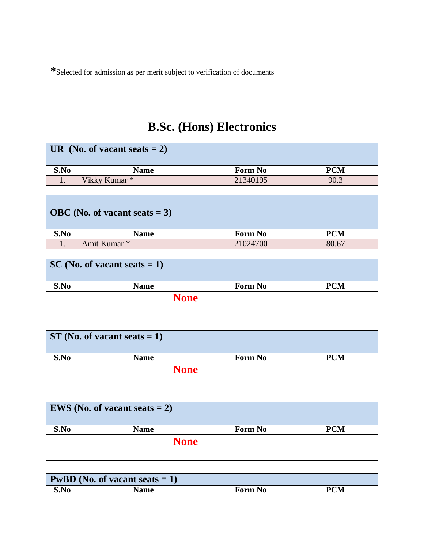## **B.Sc. (Hons) Electronics**

|      | UR (No. of vacant seats $= 2$ )          |                |            |
|------|------------------------------------------|----------------|------------|
|      |                                          |                |            |
| S.No | <b>Name</b>                              | Form No        | <b>PCM</b> |
| 1.   | Vikky Kumar*                             | 21340195       | 90.3       |
|      |                                          |                |            |
|      | OBC (No. of vacant seats $= 3$ )         |                |            |
| S.No | <b>Name</b>                              | Form No        | <b>PCM</b> |
| 1.   | Amit Kumar <sup>*</sup>                  | 21024700       | 80.67      |
|      |                                          |                |            |
|      | $SC(No. of vacant seats = 1)$            |                |            |
| S.No | <b>Name</b>                              | <b>Form No</b> | <b>PCM</b> |
|      | <b>None</b>                              |                |            |
|      |                                          |                |            |
|      |                                          |                |            |
|      | $ST$ (No. of vacant seats = 1)           |                |            |
| S.No | <b>Name</b>                              | Form No        | <b>PCM</b> |
|      | <b>None</b>                              |                |            |
|      |                                          |                |            |
|      |                                          |                |            |
|      | <b>EWS</b> (No. of vacant seats $= 2$ )  |                |            |
| S.No | <b>Name</b>                              | Form No        | PCM        |
|      | <b>None</b>                              |                |            |
|      |                                          |                |            |
|      |                                          |                |            |
|      | <b>PwBD</b> (No. of vacant seats $= 1$ ) |                |            |
| S.No | <b>Name</b>                              | Form No        | <b>PCM</b> |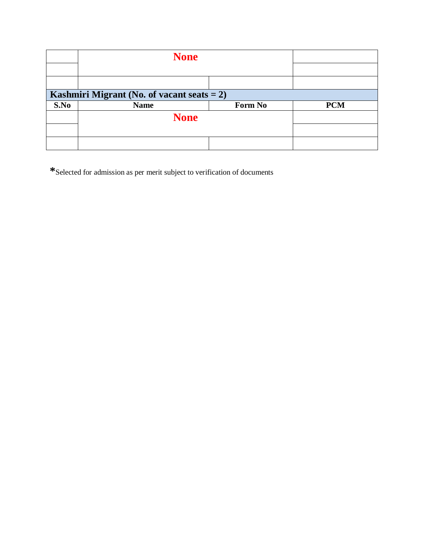|      | <b>None</b>                                   |         |            |
|------|-----------------------------------------------|---------|------------|
|      |                                               |         |            |
|      |                                               |         |            |
|      | Kashmiri Migrant (No. of vacant seats $= 2$ ) |         |            |
| S.No | <b>Name</b>                                   | Form No | <b>PCM</b> |
|      | <b>None</b>                                   |         |            |
|      |                                               |         |            |
|      |                                               |         |            |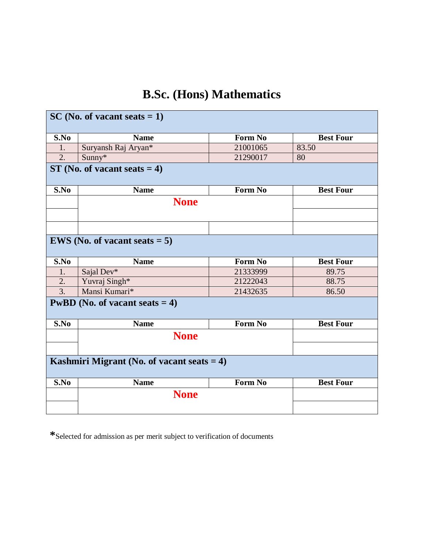## **B.Sc. (Hons) Mathematics**

|                  | $SC(No. of vacant seats = 1)$                 |                |                  |
|------------------|-----------------------------------------------|----------------|------------------|
| S.No             | <b>Name</b>                                   | Form No        | <b>Best Four</b> |
| 1.               | Suryansh Raj Aryan*                           | 21001065       | 83.50            |
| 2.               | Sunny*                                        | 21290017       | 80               |
|                  | $ST$ (No. of vacant seats = 4)                |                |                  |
| S.No             | <b>Name</b>                                   | Form No        | <b>Best Four</b> |
|                  | <b>None</b>                                   |                |                  |
|                  |                                               |                |                  |
|                  | <b>EWS</b> (No. of vacant seats $= 5$ )       |                |                  |
| S.No             | <b>Name</b>                                   | <b>Form No</b> | <b>Best Four</b> |
| 1.               | Sajal Dev*                                    | 21333999       | 89.75            |
| 2.               | Yuvraj Singh*                                 | 21222043       | 88.75            |
| $\overline{3}$ . | Mansi Kumari*                                 | 21432635       | 86.50            |
|                  | <b>PwBD</b> (No. of vacant seats $= 4$ )      |                |                  |
| S.No             | <b>Name</b>                                   | <b>Form No</b> | <b>Best Four</b> |
|                  | <b>None</b>                                   |                |                  |
|                  |                                               |                |                  |
|                  | Kashmiri Migrant (No. of vacant seats $= 4$ ) |                |                  |
| S.No             | <b>Name</b>                                   | Form No        | <b>Best Four</b> |
|                  | <b>None</b>                                   |                |                  |
|                  |                                               |                |                  |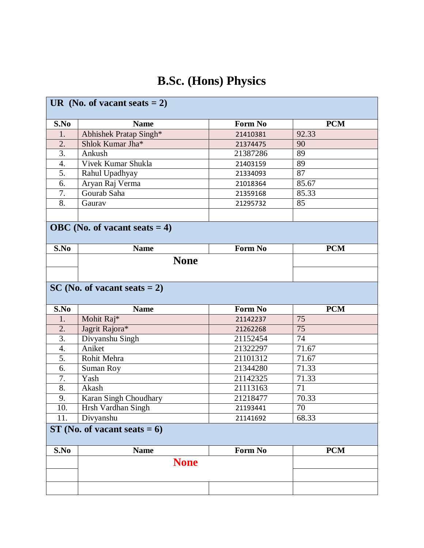## **B.Sc. (Hons) Physics**

|                  | UR (No. of vacant seats $= 2$ )  |                |                 |  |  |
|------------------|----------------------------------|----------------|-----------------|--|--|
| S.No             | <b>Name</b>                      | <b>Form No</b> | <b>PCM</b>      |  |  |
| 1.               | Abhishek Pratap Singh*           | 21410381       | 92.33           |  |  |
| $\overline{2}$ . | Shlok Kumar Jha*                 | 21374475       | 90              |  |  |
| $\overline{3}$ . | Ankush                           | 21387286       | 89              |  |  |
| 4.               | Vivek Kumar Shukla               | 21403159       | 89              |  |  |
| 5.               | Rahul Upadhyay                   | 21334093       | 87              |  |  |
| 6.               | Aryan Raj Verma                  | 21018364       | 85.67           |  |  |
| 7.               | Gourab Saha                      | 21359168       | 85.33           |  |  |
| 8.               | Gaurav                           | 21295732       | 85              |  |  |
|                  |                                  |                |                 |  |  |
|                  | OBC (No. of vacant seats $= 4$ ) |                |                 |  |  |
| S.No             | <b>Name</b>                      | <b>Form No</b> | <b>PCM</b>      |  |  |
|                  | <b>None</b>                      |                |                 |  |  |
|                  |                                  |                |                 |  |  |
|                  | $SC(No. of vacant seats = 2)$    |                |                 |  |  |
| S.No             | <b>Name</b>                      | <b>Form No</b> | <b>PCM</b>      |  |  |
| 1.               | Mohit Raj*                       | 21142237       | 75              |  |  |
| 2.               | Jagrit Rajora*                   | 21262268       | 75              |  |  |
| $\overline{3}$ . | Divyanshu Singh                  | 21152454       | $\overline{74}$ |  |  |
| 4.               | Aniket                           | 21322297       | 71.67           |  |  |
| $\overline{5}$ . | Rohit Mehra                      | 21101312       | 71.67           |  |  |
| 6.               | Suman Roy                        | 21344280       | 71.33           |  |  |
| 7.               | Yash                             | 21142325       | 71.33           |  |  |
| 8.               | Akash                            | 21113163       | 71              |  |  |
| 9.               | Karan Singh Choudhary            | 21218477       | 70.33           |  |  |
| 10.              | Hrsh Vardhan Singh               | 21193441       | 70              |  |  |
| 11.              | Divyanshu                        | 21141692       | 68.33           |  |  |
|                  | $ST(No. of vacant seats = 6)$    |                |                 |  |  |
| S.No             | <b>Name</b>                      | Form No        | <b>PCM</b>      |  |  |
|                  | <b>None</b>                      |                |                 |  |  |
|                  |                                  |                |                 |  |  |
|                  |                                  |                |                 |  |  |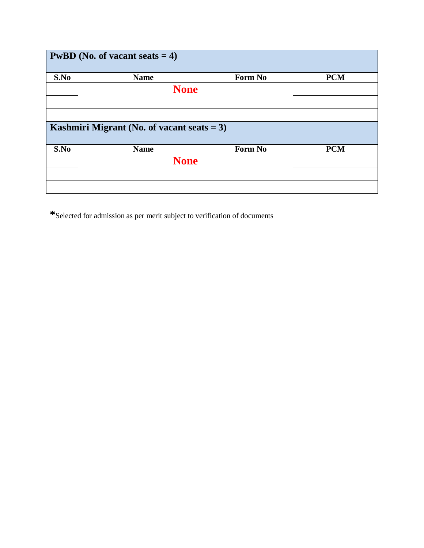| <b>PwBD</b> (No. of vacant seats $= 4$ ) |                                               |         |            |  |  |
|------------------------------------------|-----------------------------------------------|---------|------------|--|--|
| S.No                                     | <b>Name</b>                                   | Form No | <b>PCM</b> |  |  |
|                                          | <b>None</b>                                   |         |            |  |  |
|                                          |                                               |         |            |  |  |
|                                          |                                               |         |            |  |  |
|                                          | Kashmiri Migrant (No. of vacant seats $= 3$ ) |         |            |  |  |
| S.No                                     | <b>Name</b>                                   | Form No | <b>PCM</b> |  |  |
|                                          | <b>None</b>                                   |         |            |  |  |
|                                          |                                               |         |            |  |  |
|                                          |                                               |         |            |  |  |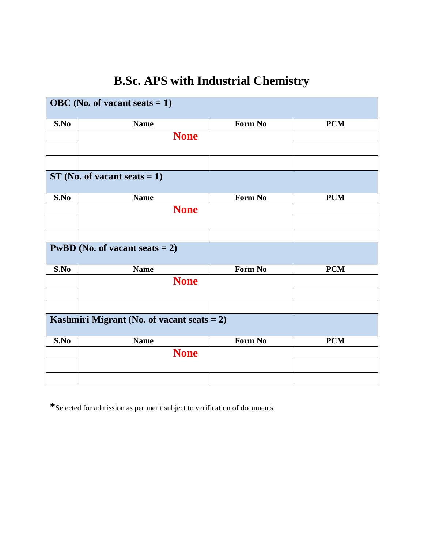## **B.Sc. APS with Industrial Chemistry**

|                                     | OBC (No. of vacant seats $= 1$ )              |         |            |
|-------------------------------------|-----------------------------------------------|---------|------------|
| S.No                                | <b>Name</b>                                   | Form No | <b>PCM</b> |
|                                     | <b>None</b>                                   |         |            |
|                                     |                                               |         |            |
|                                     |                                               |         |            |
|                                     | $ST$ (No. of vacant seats = 1)                |         |            |
| S.No                                | <b>Name</b>                                   | Form No | <b>PCM</b> |
|                                     | <b>None</b>                                   |         |            |
|                                     |                                               |         |            |
|                                     |                                               |         |            |
|                                     | <b>PwBD</b> (No. of vacant seats $= 2$ )      |         |            |
| S.No                                | <b>Name</b>                                   | Form No | <b>PCM</b> |
|                                     | <b>None</b>                                   |         |            |
|                                     |                                               |         |            |
|                                     |                                               |         |            |
|                                     | Kashmiri Migrant (No. of vacant seats $= 2$ ) |         |            |
| $\overline{\mathbf{S}}.\mathbf{No}$ | <b>Name</b>                                   | Form No | <b>PCM</b> |
|                                     | <b>None</b>                                   |         |            |
|                                     |                                               |         |            |
|                                     |                                               |         |            |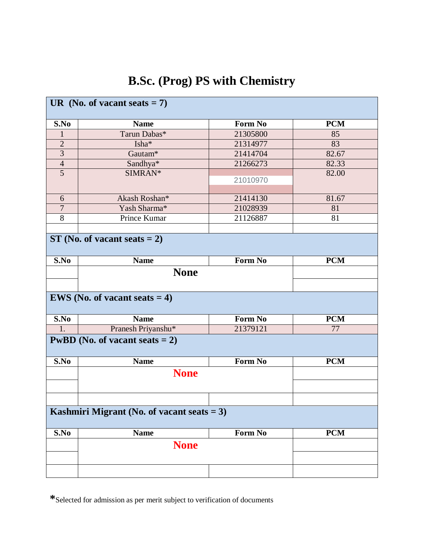## **B.Sc. (Prog) PS with Chemistry**

| UR (No. of vacant seats $= 7$ )               |                                          |                |            |  |  |
|-----------------------------------------------|------------------------------------------|----------------|------------|--|--|
| S.No                                          | <b>Name</b>                              | Form No        | <b>PCM</b> |  |  |
| 1                                             | Tarun Dabas*                             | 21305800       | 85         |  |  |
| $\overline{2}$                                | Isha*                                    | 21314977       | 83         |  |  |
| $\overline{\mathbf{3}}$                       | Gautam <sup>*</sup>                      | 21414704       | 82.67      |  |  |
| $\overline{4}$                                | Sandhya*                                 | 21266273       | 82.33      |  |  |
| $\overline{5}$                                | SIMRAN*                                  | 21010970       | 82.00      |  |  |
|                                               |                                          |                |            |  |  |
| 6                                             | Akash Roshan*                            | 21414130       | 81.67      |  |  |
| $\overline{7}$                                | Yash Sharma*                             | 21028939       | 81         |  |  |
| 8                                             | Prince Kumar                             | 21126887       | 81         |  |  |
|                                               |                                          |                |            |  |  |
|                                               | $ST$ (No. of vacant seats = 2)           |                |            |  |  |
| S.No                                          | <b>Name</b>                              | <b>Form No</b> | <b>PCM</b> |  |  |
|                                               |                                          |                |            |  |  |
|                                               | <b>None</b>                              |                |            |  |  |
|                                               |                                          |                |            |  |  |
|                                               | <b>EWS</b> (No. of vacant seats $= 4$ )  |                |            |  |  |
| S.No                                          | <b>Name</b>                              | Form No        | <b>PCM</b> |  |  |
| 1.                                            | Pranesh Priyanshu*                       | 21379121       | 77         |  |  |
|                                               | <b>PwBD</b> (No. of vacant seats $= 2$ ) |                |            |  |  |
| S.No                                          | <b>Name</b>                              | <b>Form No</b> | <b>PCM</b> |  |  |
|                                               | <b>None</b>                              |                |            |  |  |
|                                               |                                          |                |            |  |  |
|                                               |                                          |                |            |  |  |
| Kashmiri Migrant (No. of vacant seats $= 3$ ) |                                          |                |            |  |  |
| S.No                                          | <b>Name</b>                              | Form No        | <b>PCM</b> |  |  |
|                                               | <b>None</b>                              |                |            |  |  |
|                                               |                                          |                |            |  |  |
|                                               |                                          |                |            |  |  |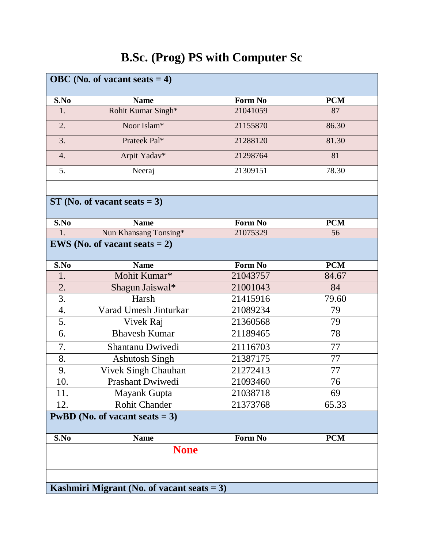#### **OBC (No. of vacant seats = 4) S.No Name Form No PCM** 1. Rohit Kumar Singh<sup>\*</sup> 21041059 87 2. Noor Islam\* 21155870 86.30 3. Prateek Pal<sup>\*</sup> 21288120 81.30 4. | Arpit Yadav\* | 21298764 | 81 5. Neeraj 21309151 78.30 **ST (No. of vacant seats = 3) S.No Name Form No PCM** 1. Nun Khansang Tonsing\* 21075329 56 **EWS** (No. of **vacant**  $\text{seats} = 2$ ) **S.No Name Form No PCM** 1. Mohit Kumar\* 1 21043757 84.67 2. Shagun Jaiswal\* 21001043 84 3. Harsh 21415916 79.60 4. Varad Umesh Jinturkar 21089234 79 5. Vivek Raj 21360568 79 6. Bhavesh Kumar 21189465 78 7. Shantanu Dwivedi 21116703 77 8. Ashutosh Singh 21387175 77 9. Vivek Singh Chauhan 21272413 77 10. Prashant Dwiwedi 21093460 76 11. Mayank Gupta 1 21038718 69 12. Rohit Chander 1 21373768 65.33 **PwBD** (No. of **vacant**  $seats = 3$ ) **S.No Name Form No PCM None Kashmiri Migrant (No. of vacant seats = 3)**

#### **B.Sc. (Prog) PS with Computer Sc**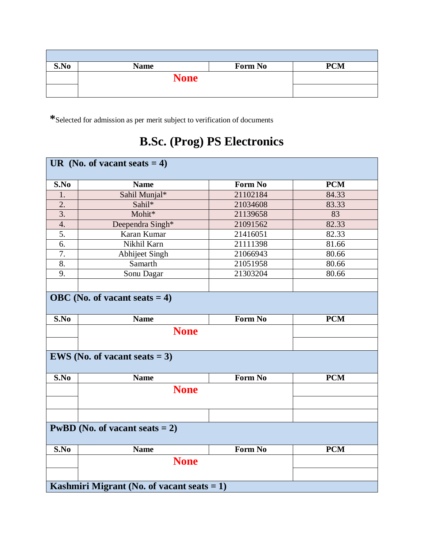| S.No | <b>Name</b> | Form No | <b>PCM</b> |
|------|-------------|---------|------------|
|      | <b>None</b> |         |            |
|      |             |         |            |

## **B.Sc. (Prog) PS Electronics**

|                  | UR (No. of vacant seats $= 4$ )               |                |            |
|------------------|-----------------------------------------------|----------------|------------|
|                  |                                               |                |            |
| S.No             | <b>Name</b>                                   | <b>Form No</b> | <b>PCM</b> |
| 1.               | Sahil Munjal*                                 | 21102184       | 84.33      |
| 2.               | Sahil*                                        | 21034608       | 83.33      |
| $\overline{3}$ . | Mohit*                                        | 21139658       | 83         |
| $\overline{4}$ . | Deependra Singh*                              | 21091562       | 82.33      |
| 5.               | Karan Kumar                                   | 21416051       | 82.33      |
| 6.               | Nikhil Karn                                   | 21111398       | 81.66      |
| 7.               | Abhijeet Singh                                | 21066943       | 80.66      |
| $\overline{8}$ . | Samarth                                       | 21051958       | 80.66      |
| 9.               | Sonu Dagar                                    | 21303204       | 80.66      |
|                  |                                               |                |            |
|                  | OBC (No. of vacant seats $= 4$ )              |                |            |
| S.No             | <b>Name</b>                                   | <b>Form No</b> | <b>PCM</b> |
|                  |                                               |                |            |
|                  | <b>None</b>                                   |                |            |
|                  | <b>EWS</b> (No. of vacant seats $= 3$ )       |                |            |
|                  |                                               |                |            |
| S.No             | <b>Name</b>                                   | <b>Form No</b> | <b>PCM</b> |
|                  | <b>None</b>                                   |                |            |
|                  |                                               |                |            |
|                  |                                               |                |            |
|                  | <b>PwBD</b> (No. of vacant seats $= 2$ )      |                |            |
| S.No             | <b>Name</b>                                   | <b>Form No</b> | <b>PCM</b> |
|                  | <b>None</b>                                   |                |            |
|                  | Kashmiri Migrant (No. of vacant seats $= 1$ ) |                |            |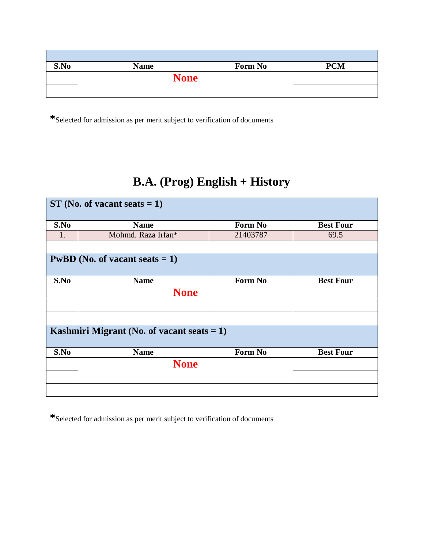| S.No | <b>Name</b> | Form No | <b>PCM</b> |
|------|-------------|---------|------------|
|      | <b>None</b> |         |            |
|      |             |         |            |

## **B.A. (Prog) English + History**

| $ST(No. of vacant seats = 1)$                 |                                          |                |                  |  |  |  |
|-----------------------------------------------|------------------------------------------|----------------|------------------|--|--|--|
| S.No                                          | <b>Name</b>                              | Form No        | <b>Best Four</b> |  |  |  |
| 1.                                            | Mohmd. Raza Irfan*                       | 21403787       | 69.5             |  |  |  |
|                                               |                                          |                |                  |  |  |  |
|                                               | <b>PwBD</b> (No. of vacant seats $= 1$ ) |                |                  |  |  |  |
| S.No                                          | <b>Name</b>                              | <b>Form No</b> | <b>Best Four</b> |  |  |  |
|                                               | <b>None</b>                              |                |                  |  |  |  |
|                                               |                                          |                |                  |  |  |  |
|                                               |                                          |                |                  |  |  |  |
| Kashmiri Migrant (No. of vacant seats $= 1$ ) |                                          |                |                  |  |  |  |
| S.No                                          | <b>Name</b>                              | Form No        | <b>Best Four</b> |  |  |  |
|                                               | <b>None</b>                              |                |                  |  |  |  |
|                                               |                                          |                |                  |  |  |  |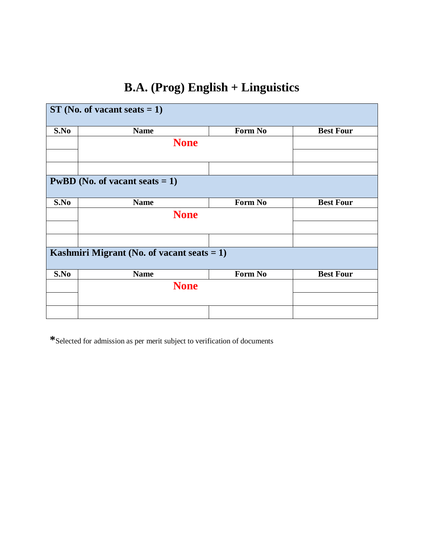# **B.A. (Prog) English + Linguistics**

| $ST(No. of vacant seats = 1)$ |                                               |         |                  |  |  |
|-------------------------------|-----------------------------------------------|---------|------------------|--|--|
| S.No                          | <b>Name</b>                                   | Form No | <b>Best Four</b> |  |  |
|                               | <b>None</b>                                   |         |                  |  |  |
|                               |                                               |         |                  |  |  |
|                               | <b>PwBD</b> (No. of vacant seats $= 1$ )      |         |                  |  |  |
| S.No                          | <b>Name</b>                                   | Form No | <b>Best Four</b> |  |  |
|                               | <b>None</b>                                   |         |                  |  |  |
|                               | Kashmiri Migrant (No. of vacant seats $= 1$ ) |         |                  |  |  |
| S.No                          | <b>Name</b>                                   | Form No | <b>Best Four</b> |  |  |
|                               | <b>None</b>                                   |         |                  |  |  |
|                               |                                               |         |                  |  |  |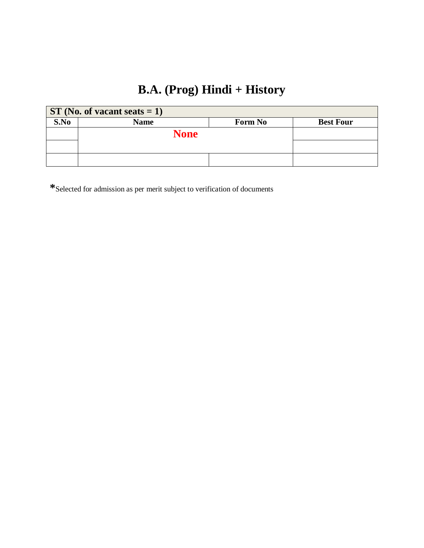## **B.A. (Prog) Hindi + History**

| $ST(No. of vacant seats = 1)$ |             |                |                  |  |  |
|-------------------------------|-------------|----------------|------------------|--|--|
| S.No                          | <b>Name</b> | <b>Form No</b> | <b>Best Four</b> |  |  |
|                               | <b>None</b> |                |                  |  |  |
|                               |             |                |                  |  |  |
|                               |             |                |                  |  |  |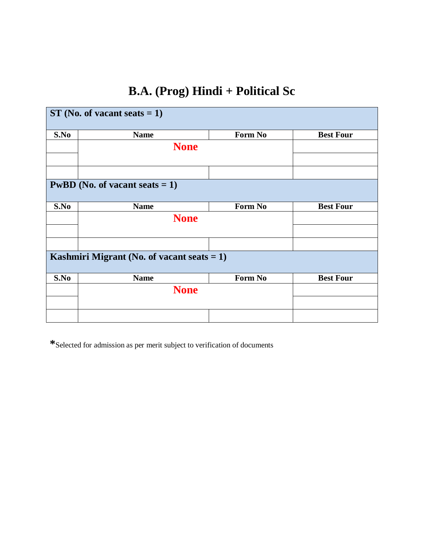## **B.A. (Prog) Hindi + Political Sc**

| $ST(No. of vacant seats = 1)$                 |                                          |                |                  |  |  |
|-----------------------------------------------|------------------------------------------|----------------|------------------|--|--|
| S.No                                          | <b>Name</b>                              | <b>Form No</b> | <b>Best Four</b> |  |  |
|                                               | <b>None</b>                              |                |                  |  |  |
|                                               |                                          |                |                  |  |  |
|                                               | <b>PwBD</b> (No. of vacant seats $= 1$ ) |                |                  |  |  |
| S.No                                          | <b>Name</b>                              | Form No        | <b>Best Four</b> |  |  |
|                                               | <b>None</b>                              |                |                  |  |  |
|                                               |                                          |                |                  |  |  |
| Kashmiri Migrant (No. of vacant seats $= 1$ ) |                                          |                |                  |  |  |
| S.No                                          | <b>Name</b>                              | <b>Form No</b> | <b>Best Four</b> |  |  |
|                                               | <b>None</b>                              |                |                  |  |  |
|                                               |                                          |                |                  |  |  |
|                                               |                                          |                |                  |  |  |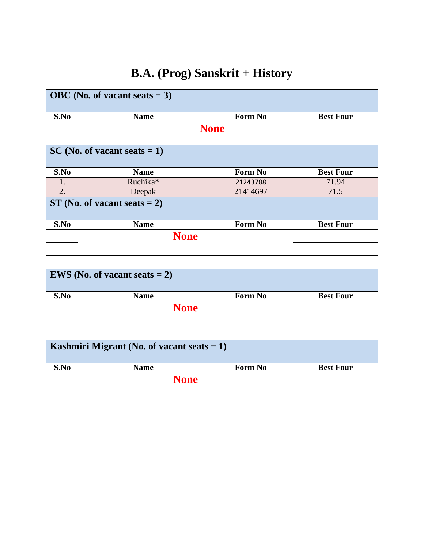# **B.A. (Prog) Sanskrit + History**

| OBC (No. of vacant seats $= 3$ )              |                                         |                |                  |  |  |
|-----------------------------------------------|-----------------------------------------|----------------|------------------|--|--|
|                                               |                                         |                |                  |  |  |
| S.No                                          | <b>Name</b>                             | Form No        | <b>Best Four</b> |  |  |
|                                               |                                         | <b>None</b>    |                  |  |  |
|                                               | $SC(No. of vacant seats = 1)$           |                |                  |  |  |
| S.No                                          | <b>Name</b>                             | Form No        | <b>Best Four</b> |  |  |
| 1.                                            | Ruchika*                                | 21243788       | 71.94            |  |  |
| $\overline{2}$ .                              | Deepak                                  | 21414697       | 71.5             |  |  |
|                                               | $ST$ (No. of vacant seats = 2)          |                |                  |  |  |
| S.No                                          | <b>Name</b>                             | <b>Form No</b> | <b>Best Four</b> |  |  |
|                                               | <b>None</b>                             |                |                  |  |  |
|                                               |                                         |                |                  |  |  |
|                                               |                                         |                |                  |  |  |
|                                               |                                         |                |                  |  |  |
|                                               | <b>EWS</b> (No. of vacant seats $= 2$ ) |                |                  |  |  |
| S.No                                          | <b>Name</b>                             | Form No        | <b>Best Four</b> |  |  |
|                                               | <b>None</b>                             |                |                  |  |  |
|                                               |                                         |                |                  |  |  |
|                                               |                                         |                |                  |  |  |
| Kashmiri Migrant (No. of vacant seats $= 1$ ) |                                         |                |                  |  |  |
| S.No                                          | <b>Name</b>                             | <b>Form No</b> | <b>Best Four</b> |  |  |
|                                               | <b>None</b>                             |                |                  |  |  |
|                                               |                                         |                |                  |  |  |
|                                               |                                         |                |                  |  |  |
|                                               |                                         |                |                  |  |  |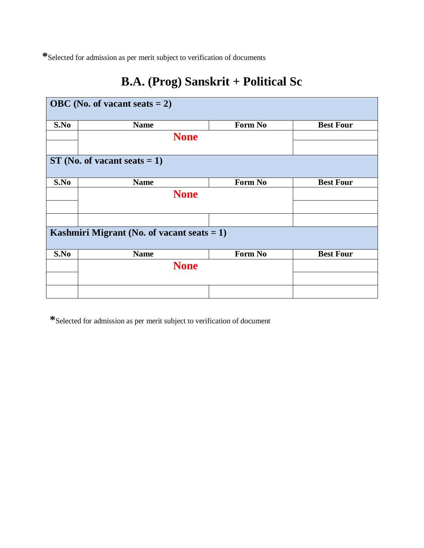## **B.A. (Prog) Sanskrit + Political Sc**

| OBC (No. of vacant seats $= 2$ ) |                                               |         |                  |  |  |
|----------------------------------|-----------------------------------------------|---------|------------------|--|--|
| S.No                             | <b>Name</b>                                   | Form No | <b>Best Four</b> |  |  |
|                                  | <b>None</b>                                   |         |                  |  |  |
|                                  |                                               |         |                  |  |  |
|                                  | $ST$ (No. of vacant seats = 1)                |         |                  |  |  |
| S.No                             | <b>Name</b>                                   | Form No | <b>Best Four</b> |  |  |
|                                  | <b>None</b>                                   |         |                  |  |  |
|                                  |                                               |         |                  |  |  |
|                                  |                                               |         |                  |  |  |
|                                  | Kashmiri Migrant (No. of vacant seats $= 1$ ) |         |                  |  |  |
| S.No                             | <b>Name</b>                                   | Form No | <b>Best Four</b> |  |  |
|                                  | <b>None</b>                                   |         |                  |  |  |
|                                  |                                               |         |                  |  |  |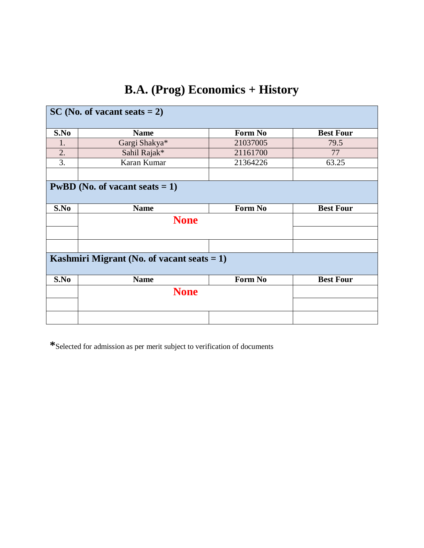# **B.A. (Prog) Economics + History**

| $SC(No. of vacant seats = 2)$                 |               |          |                  |  |
|-----------------------------------------------|---------------|----------|------------------|--|
| S.No                                          | <b>Name</b>   | Form No  | <b>Best Four</b> |  |
| 1.                                            | Gargi Shakya* | 21037005 | 79.5             |  |
| 2.                                            | Sahil Rajak*  | 21161700 | 77               |  |
| 3.                                            | Karan Kumar   | 21364226 | 63.25            |  |
|                                               |               |          |                  |  |
| <b>PwBD</b> (No. of vacant seats $= 1$ )      |               |          |                  |  |
| S.No                                          | <b>Name</b>   | Form No  | <b>Best Four</b> |  |
|                                               | <b>None</b>   |          |                  |  |
|                                               |               |          |                  |  |
|                                               |               |          |                  |  |
| Kashmiri Migrant (No. of vacant seats $= 1$ ) |               |          |                  |  |
| S.No                                          | <b>Name</b>   | Form No  | <b>Best Four</b> |  |
|                                               | <b>None</b>   |          |                  |  |
|                                               |               |          |                  |  |
|                                               |               |          |                  |  |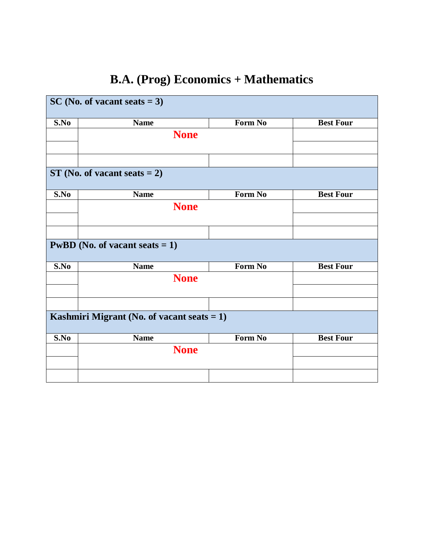# **B.A. (Prog) Economics + Mathematics**

|      | $SC(No. of vacant seats = 3)$                 |         |                  |
|------|-----------------------------------------------|---------|------------------|
| S.No | <b>Name</b>                                   | Form No | <b>Best Four</b> |
|      | <b>None</b>                                   |         |                  |
|      |                                               |         |                  |
|      |                                               |         |                  |
|      | $ST$ (No. of vacant seats = 2)                |         |                  |
| S.No | <b>Name</b>                                   | Form No | <b>Best Four</b> |
|      | <b>None</b>                                   |         |                  |
|      |                                               |         |                  |
|      |                                               |         |                  |
|      | <b>PwBD</b> (No. of vacant seats $= 1$ )      |         |                  |
| S.No | <b>Name</b>                                   | Form No | <b>Best Four</b> |
|      | <b>None</b>                                   |         |                  |
|      |                                               |         |                  |
|      |                                               |         |                  |
|      | Kashmiri Migrant (No. of vacant seats $= 1$ ) |         |                  |
| S.No | <b>Name</b>                                   | Form No | <b>Best Four</b> |
|      | <b>None</b>                                   |         |                  |
|      |                                               |         |                  |
|      |                                               |         |                  |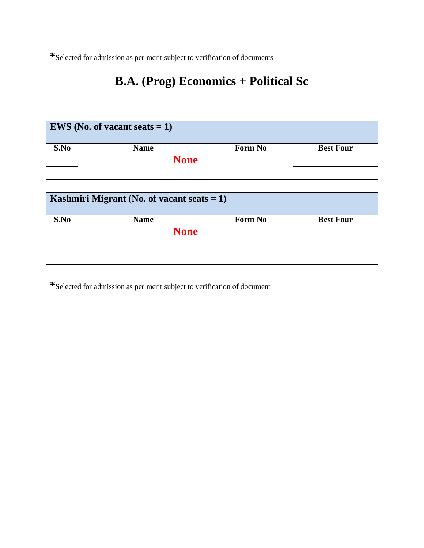## **B.A. (Prog) Economics + Political Sc**

| <b>EWS</b> (No. of vacant seats $= 1$ )       |             |         |                  |
|-----------------------------------------------|-------------|---------|------------------|
| S.No                                          | <b>Name</b> | Form No | <b>Best Four</b> |
|                                               | <b>None</b> |         |                  |
|                                               |             |         |                  |
|                                               |             |         |                  |
| Kashmiri Migrant (No. of vacant seats $= 1$ ) |             |         |                  |
| S.No                                          | <b>Name</b> | Form No | <b>Best Four</b> |
|                                               | <b>None</b> |         |                  |
|                                               |             |         |                  |
|                                               |             |         |                  |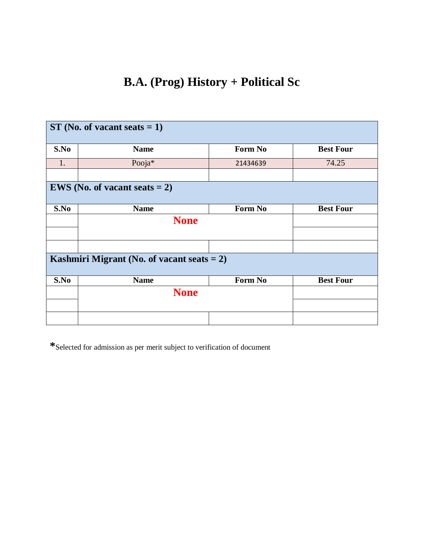## **B.A. (Prog) History + Political Sc**

| $ST$ (No. of vacant seats = 1)                |             |          |                  |  |
|-----------------------------------------------|-------------|----------|------------------|--|
| S.No                                          | <b>Name</b> | Form No  | <b>Best Four</b> |  |
| 1.                                            | Pooja*      | 21434639 | 74.25            |  |
|                                               |             |          |                  |  |
| <b>EWS</b> (No. of vacant seats $= 2$ )       |             |          |                  |  |
| S.No                                          | <b>Name</b> | Form No  | <b>Best Four</b> |  |
|                                               | <b>None</b> |          |                  |  |
|                                               |             |          |                  |  |
|                                               |             |          |                  |  |
| Kashmiri Migrant (No. of vacant seats $= 2$ ) |             |          |                  |  |
| S.No                                          | <b>Name</b> | Form No  | <b>Best Four</b> |  |
|                                               | <b>None</b> |          |                  |  |
|                                               |             |          |                  |  |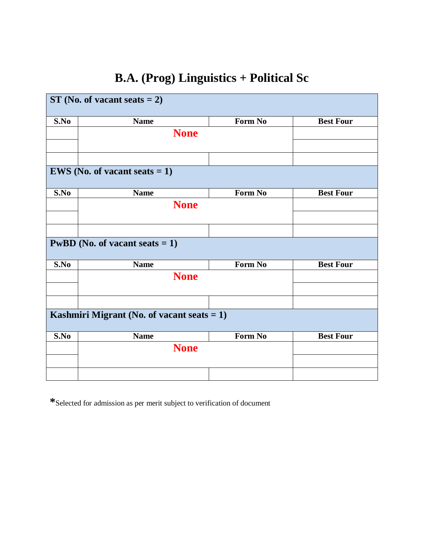## **B.A. (Prog) Linguistics + Political Sc**

| $ST(No. of vacant seats = 2)$ |                                               |         |                  |
|-------------------------------|-----------------------------------------------|---------|------------------|
| S.No                          | <b>Name</b>                                   | Form No | <b>Best Four</b> |
|                               | <b>None</b>                                   |         |                  |
|                               |                                               |         |                  |
|                               |                                               |         |                  |
|                               | <b>EWS</b> (No. of vacant seats $= 1$ )       |         |                  |
| S.No                          | <b>Name</b>                                   | Form No | <b>Best Four</b> |
|                               | <b>None</b>                                   |         |                  |
|                               |                                               |         |                  |
|                               |                                               |         |                  |
|                               | <b>PwBD</b> (No. of vacant seats $= 1$ )      |         |                  |
| S.No                          | <b>Name</b>                                   | Form No | <b>Best Four</b> |
|                               | <b>None</b>                                   |         |                  |
|                               |                                               |         |                  |
|                               |                                               |         |                  |
|                               | Kashmiri Migrant (No. of vacant seats $= 1$ ) |         |                  |
| S.No                          | <b>Name</b>                                   | Form No | <b>Best Four</b> |
|                               | <b>None</b>                                   |         |                  |
|                               |                                               |         |                  |
|                               |                                               |         |                  |